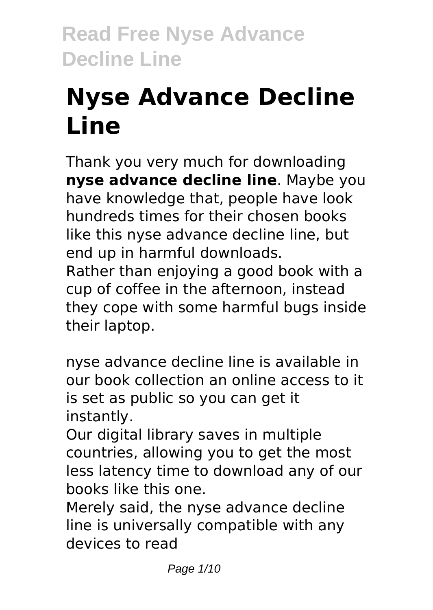# **Nyse Advance Decline Line**

Thank you very much for downloading **nyse advance decline line**. Maybe you have knowledge that, people have look hundreds times for their chosen books like this nyse advance decline line, but end up in harmful downloads. Rather than enjoying a good book with a cup of coffee in the afternoon, instead they cope with some harmful bugs inside their laptop.

nyse advance decline line is available in our book collection an online access to it is set as public so you can get it instantly.

Our digital library saves in multiple countries, allowing you to get the most less latency time to download any of our books like this one.

Merely said, the nyse advance decline line is universally compatible with any devices to read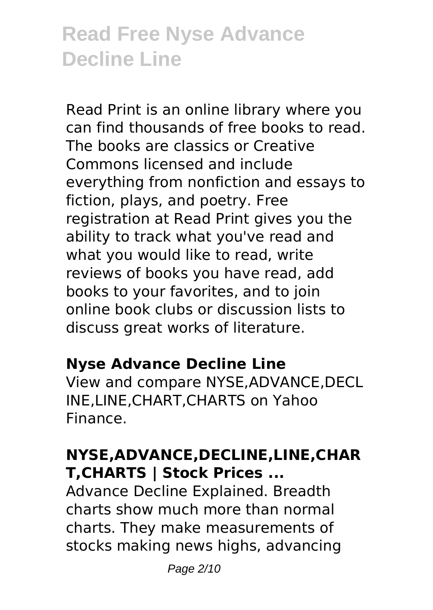Read Print is an online library where you can find thousands of free books to read. The books are classics or Creative Commons licensed and include everything from nonfiction and essays to fiction, plays, and poetry. Free registration at Read Print gives you the ability to track what you've read and what you would like to read, write reviews of books you have read, add books to your favorites, and to join online book clubs or discussion lists to discuss great works of literature.

#### **Nyse Advance Decline Line**

View and compare NYSE,ADVANCE,DECL INE,LINE,CHART,CHARTS on Yahoo Finance.

# **NYSE,ADVANCE,DECLINE,LINE,CHAR T,CHARTS | Stock Prices ...**

Advance Decline Explained. Breadth charts show much more than normal charts. They make measurements of stocks making news highs, advancing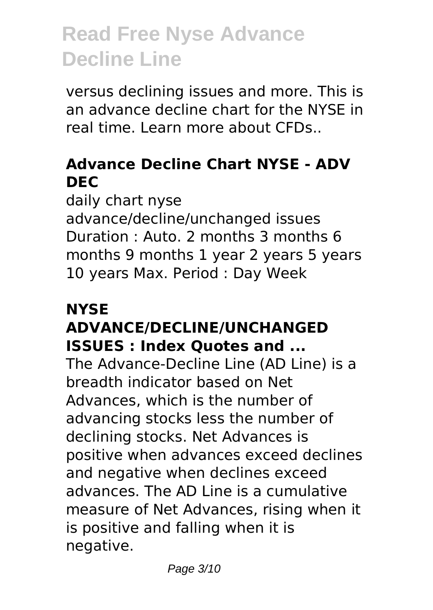versus declining issues and more. This is an advance decline chart for the NYSE in real time. Learn more about CFDs..

### **Advance Decline Chart NYSE - ADV DEC**

daily chart nyse advance/decline/unchanged issues Duration : Auto. 2 months 3 months 6 months 9 months 1 year 2 years 5 years 10 years Max. Period : Day Week

# **NYSE ADVANCE/DECLINE/UNCHANGED ISSUES : Index Quotes and ...**

The Advance-Decline Line (AD Line) is a breadth indicator based on Net Advances, which is the number of advancing stocks less the number of declining stocks. Net Advances is positive when advances exceed declines and negative when declines exceed advances. The AD Line is a cumulative measure of Net Advances, rising when it is positive and falling when it is negative.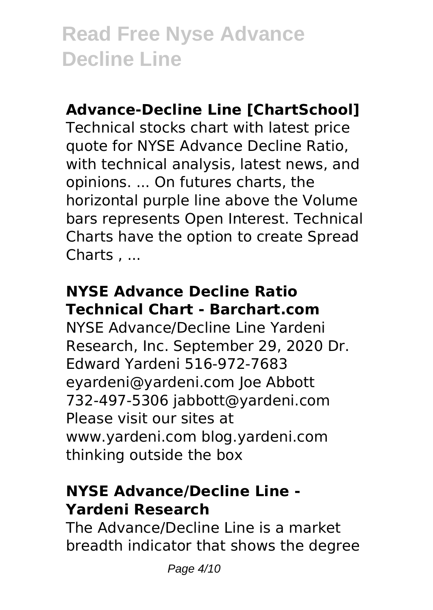#### **Advance-Decline Line [ChartSchool]**

Technical stocks chart with latest price quote for NYSE Advance Decline Ratio, with technical analysis, latest news, and opinions. ... On futures charts, the horizontal purple line above the Volume bars represents Open Interest. Technical Charts have the option to create Spread Charts , ...

# **NYSE Advance Decline Ratio Technical Chart - Barchart.com**

NYSE Advance/Decline Line Yardeni Research, Inc. September 29, 2020 Dr. Edward Yardeni 516-972-7683 eyardeni@yardeni.com Joe Abbott 732-497-5306 jabbott@yardeni.com Please visit our sites at www.yardeni.com blog.yardeni.com thinking outside the box

# **NYSE Advance/Decline Line - Yardeni Research**

The Advance/Decline Line is a market breadth indicator that shows the degree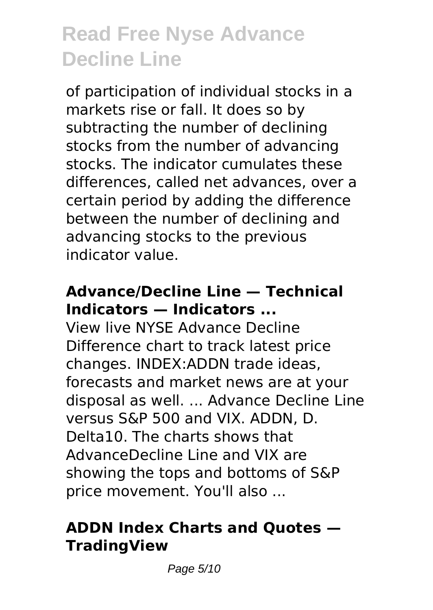of participation of individual stocks in a markets rise or fall. It does so by subtracting the number of declining stocks from the number of advancing stocks. The indicator cumulates these differences, called net advances, over a certain period by adding the difference between the number of declining and advancing stocks to the previous indicator value.

# **Advance/Decline Line — Technical Indicators — Indicators ...**

View live NYSE Advance Decline Difference chart to track latest price changes. INDEX:ADDN trade ideas, forecasts and market news are at your disposal as well. ... Advance Decline Line versus S&P 500 and VIX. ADDN, D. Delta10. The charts shows that AdvanceDecline Line and VIX are showing the tops and bottoms of S&P price movement. You'll also ...

# **ADDN Index Charts and Quotes — TradingView**

Page 5/10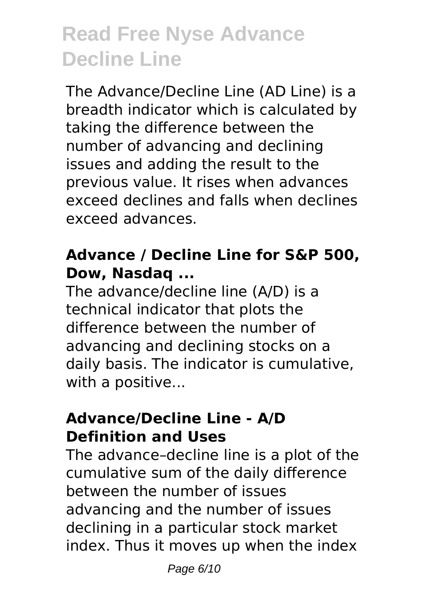The Advance/Decline Line (AD Line) is a breadth indicator which is calculated by taking the difference between the number of advancing and declining issues and adding the result to the previous value. It rises when advances exceed declines and falls when declines exceed advances.

### **Advance / Decline Line for S&P 500, Dow, Nasdaq ...**

The advance/decline line (A/D) is a technical indicator that plots the difference between the number of advancing and declining stocks on a daily basis. The indicator is cumulative, with a positive...

#### **Advance/Decline Line - A/D Definition and Uses**

The advance–decline line is a plot of the cumulative sum of the daily difference between the number of issues advancing and the number of issues declining in a particular stock market index. Thus it moves up when the index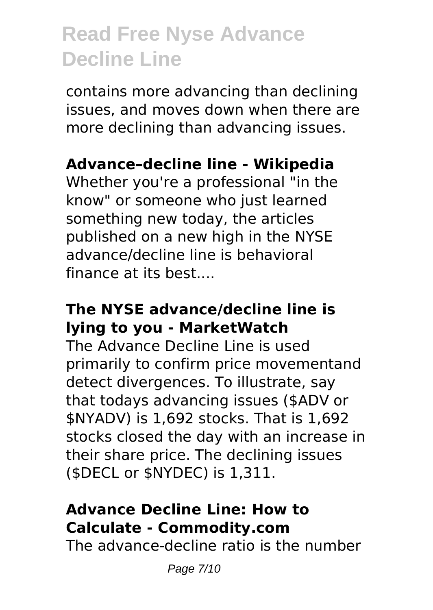contains more advancing than declining issues, and moves down when there are more declining than advancing issues.

# **Advance–decline line - Wikipedia**

Whether you're a professional "in the know" or someone who just learned something new today, the articles published on a new high in the NYSE advance/decline line is behavioral finance at its best....

# **The NYSE advance/decline line is lying to you - MarketWatch**

The Advance Decline Line is used primarily to confirm price movementand detect divergences. To illustrate, say that todays advancing issues (\$ADV or \$NYADV) is 1,692 stocks. That is 1,692 stocks closed the day with an increase in their share price. The declining issues (\$DECL or \$NYDEC) is 1,311.

# **Advance Decline Line: How to Calculate - Commodity.com**

The advance-decline ratio is the number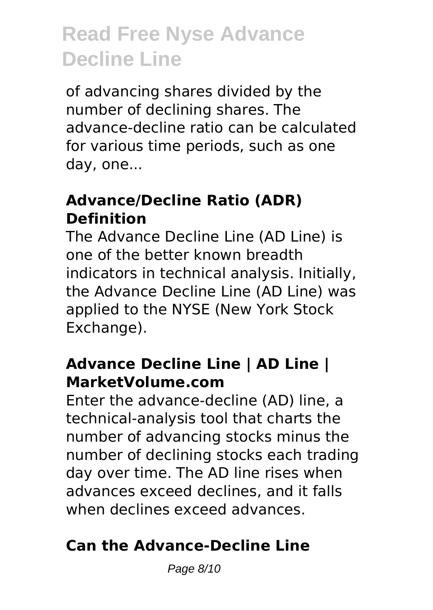of advancing shares divided by the number of declining shares. The advance-decline ratio can be calculated for various time periods, such as one day, one...

### **Advance/Decline Ratio (ADR) Definition**

The Advance Decline Line (AD Line) is one of the better known breadth indicators in technical analysis. Initially, the Advance Decline Line (AD Line) was applied to the NYSE (New York Stock Exchange).

#### **Advance Decline Line | AD Line | MarketVolume.com**

Enter the advance-decline (AD) line, a technical-analysis tool that charts the number of advancing stocks minus the number of declining stocks each trading day over time. The AD line rises when advances exceed declines, and it falls when declines exceed advances.

# **Can the Advance-Decline Line**

Page 8/10